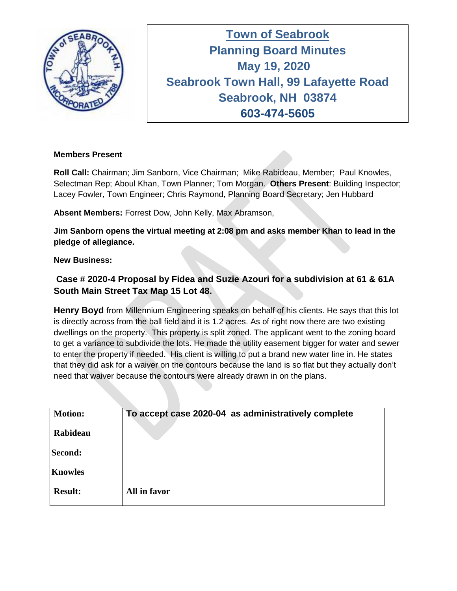

**Town of Seabrook Planning Board Minutes Tuesday April 16, 2019 May 19, 2020 Seabrook Town Hall, 99 Lafayette Road Seabrook, NH 03874 603-474-5605**

### **Members Present**

**Roll Call:** Chairman; Jim Sanborn, Vice Chairman; Mike Rabideau, Member; Paul Knowles, Selectman Rep; Aboul Khan, Town Planner; Tom Morgan. **Others Present**: Building Inspector; Lacey Fowler, Town Engineer; Chris Raymond, Planning Board Secretary; Jen Hubbard

**Absent Members:** Forrest Dow, John Kelly, Max Abramson,

**Jim Sanborn opens the virtual meeting at 2:08 pm and asks member Khan to lead in the pledge of allegiance.** 

#### **New Business:**

# **Case # 2020-4 Proposal by Fidea and Suzie Azouri for a subdivision at 61 & 61A South Main Street Tax Map 15 Lot 48.**

**Henry Boyd** from Millennium Engineering speaks on behalf of his clients. He says that this lot is directly across from the ball field and it is 1.2 acres. As of right now there are two existing dwellings on the property. This property is split zoned. The applicant went to the zoning board to get a variance to subdivide the lots. He made the utility easement bigger for water and sewer to enter the property if needed. His client is willing to put a brand new water line in. He states that they did ask for a waiver on the contours because the land is so flat but they actually don't need that waiver because the contours were already drawn in on the plans.

| <b>Motion:</b><br>Rabideau | To accept case 2020-04 as administratively complete |
|----------------------------|-----------------------------------------------------|
| Second:                    |                                                     |
| <b>Knowles</b>             |                                                     |
| <b>Result:</b>             | All in favor                                        |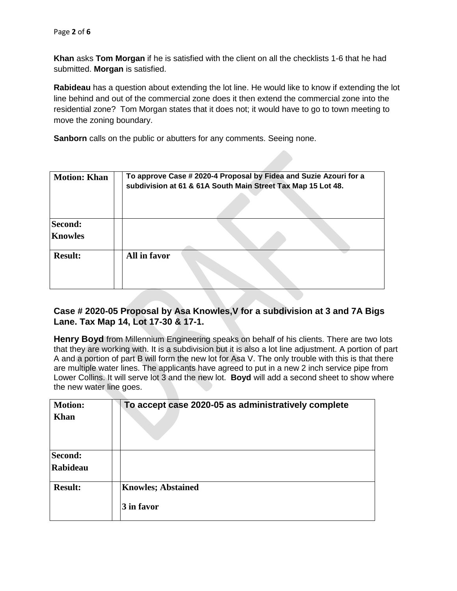**Khan** asks **Tom Morgan** if he is satisfied with the client on all the checklists 1-6 that he had submitted. **Morgan** is satisfied.

**Rabideau** has a question about extending the lot line. He would like to know if extending the lot line behind and out of the commercial zone does it then extend the commercial zone into the residential zone? Tom Morgan states that it does not; it would have to go to town meeting to move the zoning boundary.

**Sanborn** calls on the public or abutters for any comments. Seeing none.

| <b>Motion: Khan</b>              | To approve Case # 2020-4 Proposal by Fidea and Suzie Azouri for a<br>subdivision at 61 & 61A South Main Street Tax Map 15 Lot 48. |
|----------------------------------|-----------------------------------------------------------------------------------------------------------------------------------|
| <b>Second:</b><br><b>Knowles</b> |                                                                                                                                   |
| <b>Result:</b>                   | All in favor                                                                                                                      |

## **Case # 2020-05 Proposal by Asa Knowles,V for a subdivision at 3 and 7A Bigs Lane. Tax Map 14, Lot 17-30 & 17-1.**

**Henry Boyd** from Millennium Engineering speaks on behalf of his clients. There are two lots that they are working with. It is a subdivision but it is also a lot line adjustment. A portion of part A and a portion of part B will form the new lot for Asa V. The only trouble with this is that there are multiple water lines. The applicants have agreed to put in a new 2 inch service pipe from Lower Collins. It will serve lot 3 and the new lot. **Boyd** will add a second sheet to show where the new water line goes.

| <b>Motion:</b><br>Khan | To accept case 2020-05 as administratively complete |
|------------------------|-----------------------------------------------------|
| Second:<br>Rabideau    |                                                     |
| <b>Result:</b>         | <b>Knowles; Abstained</b><br>3 in favor             |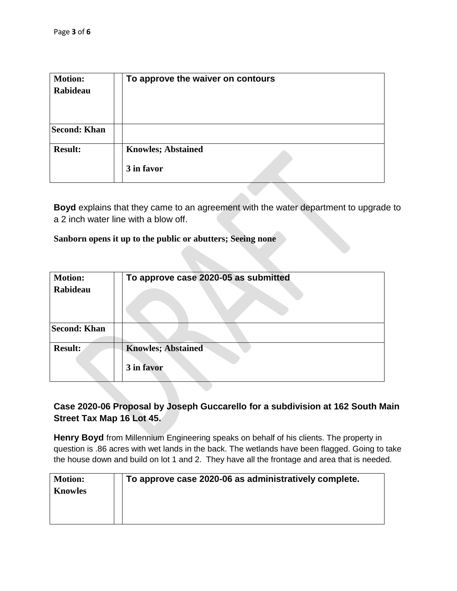| <b>Motion:</b><br>Rabideau | To approve the waiver on contours       |
|----------------------------|-----------------------------------------|
| <b>Second: Khan</b>        |                                         |
| <b>Result:</b>             | <b>Knowles; Abstained</b><br>3 in favor |

**Boyd** explains that they came to an agreement with the water department to upgrade to a 2 inch water line with a blow off.

#### **Sanborn opens it up to the public or abutters; Seeing none**

| <b>Motion:</b><br>Rabideau | To approve case 2020-05 as submitted    |
|----------------------------|-----------------------------------------|
| <b>Second: Khan</b>        |                                         |
| <b>Result:</b>             | <b>Knowles; Abstained</b><br>3 in favor |

## **Case 2020-06 Proposal by Joseph Guccarello for a subdivision at 162 South Main Street Tax Map 16 Lot 45.**

**Henry Boyd** from Millennium Engineering speaks on behalf of his clients. The property in question is .86 acres with wet lands in the back. The wetlands have been flagged. Going to take the house down and build on lot 1 and 2. They have all the frontage and area that is needed.

| <b>Motion:</b><br><b>Knowles</b> | To approve case 2020-06 as administratively complete. |
|----------------------------------|-------------------------------------------------------|
|----------------------------------|-------------------------------------------------------|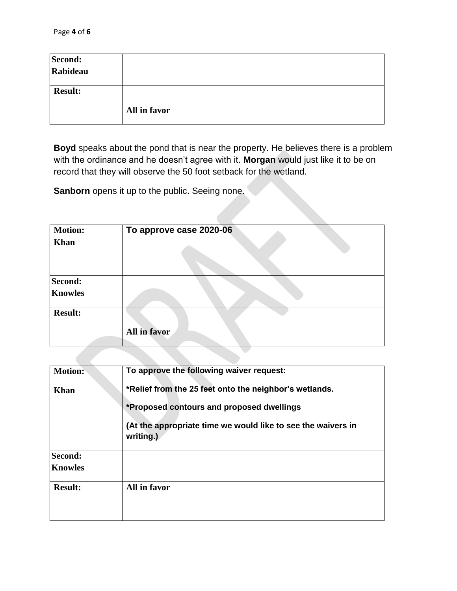| Second:<br>Rabideau |              |
|---------------------|--------------|
| <b>Result:</b>      | All in favor |

**Boyd** speaks about the pond that is near the property. He believes there is a problem with the ordinance and he doesn't agree with it. **Morgan** would just like it to be on record that they will observe the 50 foot setback for the wetland.

**Sanborn** opens it up to the public. Seeing none.

| <b>Motion:</b><br><b>Khan</b> | To approve case 2020-06 |
|-------------------------------|-------------------------|
| Second:<br><b>Knowles</b>     |                         |
| <b>Result:</b>                | All in favor            |

| <b>Motion:</b> | To approve the following waiver request:                                  |
|----------------|---------------------------------------------------------------------------|
| <b>Khan</b>    | *Relief from the 25 feet onto the neighbor's wetlands.                    |
|                | *Proposed contours and proposed dwellings                                 |
|                | (At the appropriate time we would like to see the waivers in<br>writing.) |
| Second:        |                                                                           |
| <b>Knowles</b> |                                                                           |
| <b>Result:</b> | All in favor                                                              |
|                |                                                                           |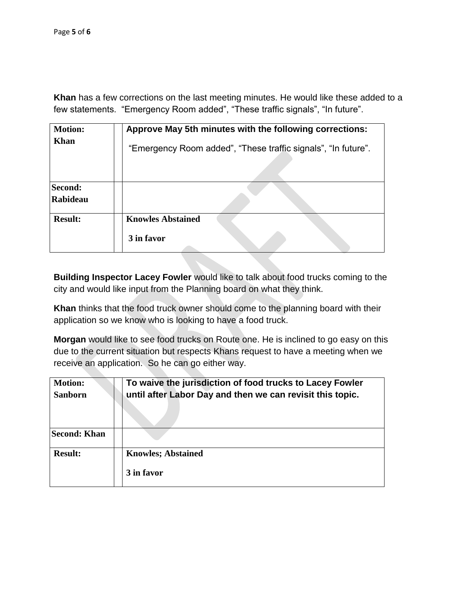**Khan** has a few corrections on the last meeting minutes. He would like these added to a few statements. "Emergency Room added", "These traffic signals", "In future".

| <b>Motion:</b>      | Approve May 5th minutes with the following corrections:       |
|---------------------|---------------------------------------------------------------|
| <b>Khan</b>         | "Emergency Room added", "These traffic signals", "In future". |
| Second:<br>Rabideau |                                                               |
| <b>Result:</b>      | <b>Knowles Abstained</b><br>3 in favor                        |
|                     |                                                               |

**Building Inspector Lacey Fowler** would like to talk about food trucks coming to the city and would like input from the Planning board on what they think.

**Khan** thinks that the food truck owner should come to the planning board with their application so we know who is looking to have a food truck.

**Morgan** would like to see food trucks on Route one. He is inclined to go easy on this due to the current situation but respects Khans request to have a meeting when we receive an application. So he can go either way.

| <b>Motion:</b><br><b>Sanborn</b> | To waive the jurisdiction of food trucks to Lacey Fowler<br>until after Labor Day and then we can revisit this topic. |
|----------------------------------|-----------------------------------------------------------------------------------------------------------------------|
| Second: Khan                     |                                                                                                                       |
| <b>Result:</b>                   | <b>Knowles</b> ; Abstained<br>3 in favor                                                                              |